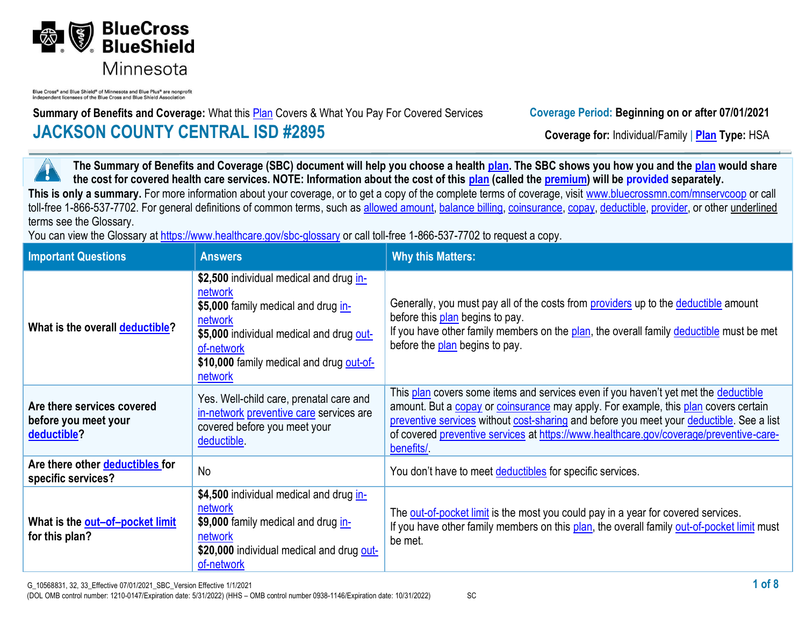

Blue Cross® and Blue Shield® of Minnesota and Blue Plus® are nonprofi independent licensees of the Blue Cross and Blue Shield Association

**Summary of Benefits and Coverage:** What this **Plan** Covers & What You Pay For Covered Services **Coverage Period: Beginning on or after 07/01/2021 JACKSON COUNTY CENTRAL ISD #2895 Coverage for:** Individual/Family | **Plan** Type: HSA

**The Summary of Benefits and Coverage (SBC) document will help you choose a health [plan.](https://www.healthcare.gov/sbc-glossary/#plan) The SBC shows you how you and the [plan](https://www.healthcare.gov/sbc-glossary/#plan) would share**  7 **the cost for covered health care services. NOTE: Information about the cost of this [plan](https://www.healthcare.gov/sbc-glossary/#plan) (called the [premium\)](https://www.healthcare.gov/sbc-glossary/#premium) will be provided separately.** This is only a summary. For more information about your coverage, or to get a copy of the complete terms of coverage, visit www.bluecrossmn.com/mnservcoop or call toll-free 1-866-537-7702. For general definitions of common terms, such as [allowed amount,](https://www.healthcare.gov/sbc-glossary/#allowed-amount) [balance billing,](https://www.healthcare.gov/sbc-glossary/#balance-billing) [coinsurance,](https://www.healthcare.gov/sbc-glossary/#coinsurance) [copay,](https://www.healthcare.gov/sbc-glossary/#copayment) [deductible,](https://www.healthcare.gov/sbc-glossary/#deductible) [provider,](https://www.healthcare.gov/sbc-glossary/#provider) or other underlined terms see the Glossary.

You can view the Glossary at<https://www.healthcare.gov/sbc-glossary> or call toll-free 1-866-537-7702 to request a copy.

| <b>Important Questions</b>                                        | <b>Answers</b>                                                                                                                                                                                                        | <b>Why this Matters:</b>                                                                                                                                                                                                                                                                                                                                                      |
|-------------------------------------------------------------------|-----------------------------------------------------------------------------------------------------------------------------------------------------------------------------------------------------------------------|-------------------------------------------------------------------------------------------------------------------------------------------------------------------------------------------------------------------------------------------------------------------------------------------------------------------------------------------------------------------------------|
| What is the overall deductible?                                   | \$2,500 individual medical and drug in-<br>network<br>\$5,000 family medical and drug in-<br>network<br>\$5,000 individual medical and drug out-<br>of-network<br>\$10,000 family medical and drug out-of-<br>network | Generally, you must pay all of the costs from <b>providers</b> up to the <b>deductible</b> amount<br>before this plan begins to pay.<br>If you have other family members on the plan, the overall family deductible must be met<br>before the plan begins to pay.                                                                                                             |
| Are there services covered<br>before you meet your<br>deductible? | Yes. Well-child care, prenatal care and<br>in-network preventive care services are<br>covered before you meet your<br>deductible.                                                                                     | This plan covers some items and services even if you haven't yet met the deductible<br>amount. But a copay or coinsurance may apply. For example, this plan covers certain<br>preventive services without cost-sharing and before you meet your deductible. See a list<br>of covered preventive services at https://www.healthcare.gov/coverage/preventive-care-<br>benefits/ |
| Are there other deductibles for<br>specific services?             | No                                                                                                                                                                                                                    | You don't have to meet deductibles for specific services.                                                                                                                                                                                                                                                                                                                     |
| What is the out-of-pocket limit<br>for this plan?                 | \$4,500 individual medical and drug in-<br>network<br>\$9,000 family medical and drug in-<br>network<br>\$20,000 individual medical and drug out-<br>of-network                                                       | The out-of-pocket limit is the most you could pay in a year for covered services.<br>If you have other family members on this plan, the overall family out-of-pocket limit must<br>be met.                                                                                                                                                                                    |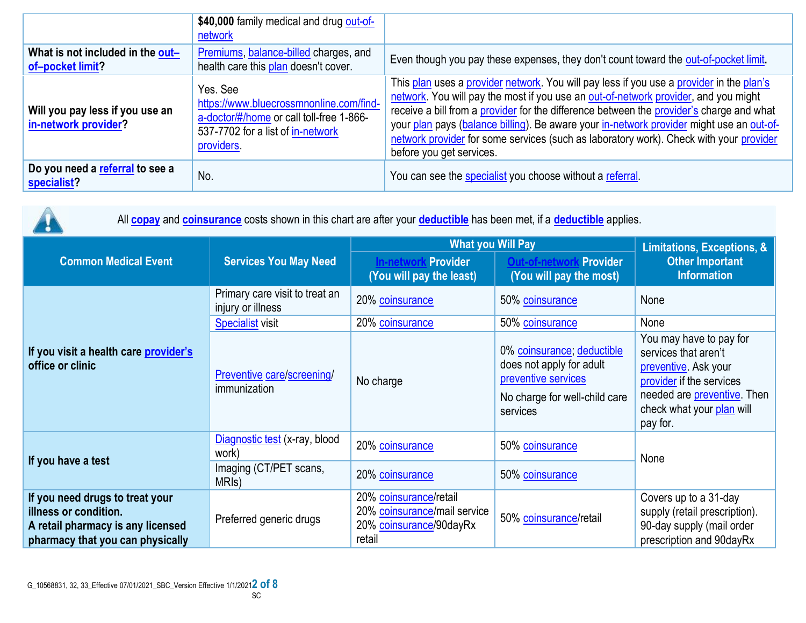|                                                         | \$40,000 family medical and drug out-of-<br>network                                                                                                |                                                                                                                                                                                                                                                                                                                                                                                                                                                                                               |
|---------------------------------------------------------|----------------------------------------------------------------------------------------------------------------------------------------------------|-----------------------------------------------------------------------------------------------------------------------------------------------------------------------------------------------------------------------------------------------------------------------------------------------------------------------------------------------------------------------------------------------------------------------------------------------------------------------------------------------|
| What is not included in the out-<br>of-pocket limit?    | Premiums, balance-billed charges, and<br>health care this plan doesn't cover.                                                                      | Even though you pay these expenses, they don't count toward the out-of-pocket limit.                                                                                                                                                                                                                                                                                                                                                                                                          |
| Will you pay less if you use an<br>in-network provider? | Yes, See<br>https://www.bluecrossmnonline.com/find-<br>a-doctor/#/home or call toll-free 1-866-<br>537-7702 for a list of in-network<br>providers. | This plan uses a provider network. You will pay less if you use a provider in the plan's<br>network. You will pay the most if you use an out-of-network provider, and you might<br>receive a bill from a provider for the difference between the provider's charge and what<br>your plan pays (balance billing). Be aware your in-network provider might use an out-of-<br>network provider for some services (such as laboratory work). Check with your provider<br>before you get services. |
| Do you need a referral to see a<br>specialist?          | No.                                                                                                                                                | You can see the specialist you choose without a referral.                                                                                                                                                                                                                                                                                                                                                                                                                                     |

| All <b>copay</b> and <b>coinsurance</b> costs shown in this chart are after your <b>deductible</b> has been met, if a <b>deductible</b> applies. |                                                     |                                                                                             |                                                                                                                            |                                                                                                                                                                             |  |
|--------------------------------------------------------------------------------------------------------------------------------------------------|-----------------------------------------------------|---------------------------------------------------------------------------------------------|----------------------------------------------------------------------------------------------------------------------------|-----------------------------------------------------------------------------------------------------------------------------------------------------------------------------|--|
|                                                                                                                                                  | <b>Services You May Need</b>                        | <b>What you Will Pay</b>                                                                    | Limitations, Exceptions, &                                                                                                 |                                                                                                                                                                             |  |
| <b>Common Medical Event</b>                                                                                                                      |                                                     | Provider<br><b>In-netwo</b><br>(You will pay the least)                                     | Provider<br>(You will pay the most)                                                                                        | <b>Other Important</b><br><b>Information</b>                                                                                                                                |  |
|                                                                                                                                                  | Primary care visit to treat an<br>injury or illness | 20% coinsurance                                                                             | 50% coinsurance                                                                                                            | None                                                                                                                                                                        |  |
|                                                                                                                                                  | <b>Specialist visit</b>                             | 20% coinsurance                                                                             | 50% coinsurance                                                                                                            | None                                                                                                                                                                        |  |
| If you visit a health care provider's<br>office or clinic                                                                                        | Preventive care/screening/<br>immunization          | No charge                                                                                   | 0% coinsurance; deductible<br>does not apply for adult<br>preventive services<br>No charge for well-child care<br>services | You may have to pay for<br>services that aren't<br>preventive. Ask your<br>provider if the services<br>needed are preventive. Then<br>check what your plan will<br>pay for. |  |
| If you have a test                                                                                                                               | Diagnostic test (x-ray, blood<br>work)              | 20% coinsurance                                                                             | 50% coinsurance                                                                                                            | None                                                                                                                                                                        |  |
|                                                                                                                                                  | Imaging (CT/PET scans,<br>MRI <sub>s</sub> )        | 20% coinsurance                                                                             | 50% coinsurance                                                                                                            |                                                                                                                                                                             |  |
| If you need drugs to treat your<br>illness or condition.<br>A retail pharmacy is any licensed<br>pharmacy that you can physically                | Preferred generic drugs                             | 20% coinsurance/retail<br>20% coinsurance/mail service<br>20% coinsurance/90dayRx<br>retail | 50% coinsurance/retail                                                                                                     | Covers up to a 31-day<br>supply (retail prescription).<br>90-day supply (mail order<br>prescription and 90dayRx                                                             |  |

 $\bigwedge$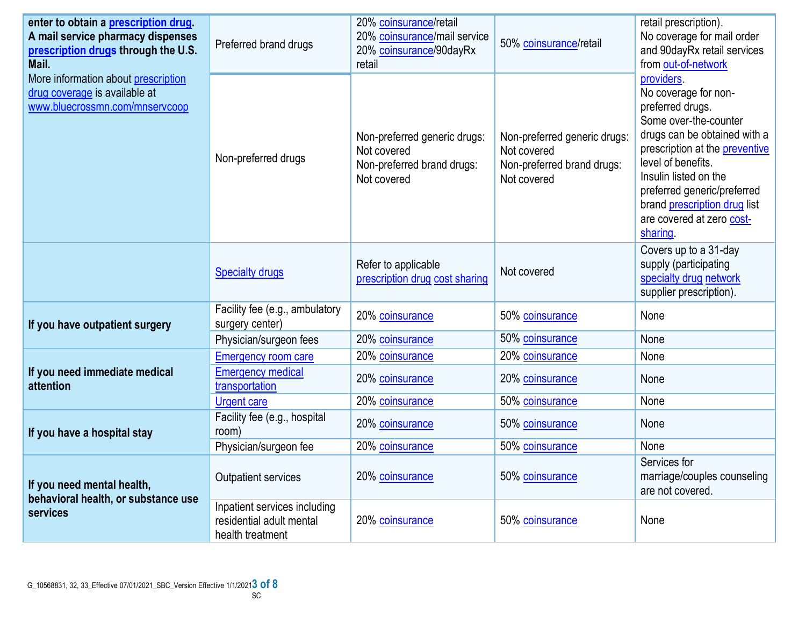| enter to obtain a prescription drug.<br>A mail service pharmacy dispenses<br>prescription drugs through the U.S.<br>Mail. | Preferred brand drugs                                                        | 20% coinsurance/retail<br>20% coinsurance/mail service<br>20% coinsurance/90dayRx<br>retail | 50% coinsurance/retail                                                                   | retail prescription).<br>No coverage for mail order<br>and 90dayRx retail services<br>from out-of-network                                                                                                                                                                                                       |
|---------------------------------------------------------------------------------------------------------------------------|------------------------------------------------------------------------------|---------------------------------------------------------------------------------------------|------------------------------------------------------------------------------------------|-----------------------------------------------------------------------------------------------------------------------------------------------------------------------------------------------------------------------------------------------------------------------------------------------------------------|
| More information about prescription<br>drug coverage is available at<br>www.bluecrossmn.com/mnservcoop                    | Non-preferred drugs                                                          | Non-preferred generic drugs:<br>Not covered<br>Non-preferred brand drugs:<br>Not covered    | Non-preferred generic drugs:<br>Not covered<br>Non-preferred brand drugs:<br>Not covered | providers.<br>No coverage for non-<br>preferred drugs.<br>Some over-the-counter<br>drugs can be obtained with a<br>prescription at the <b>preventive</b><br>level of benefits.<br>Insulin listed on the<br>preferred generic/preferred<br>brand prescription drug list<br>are covered at zero cost-<br>sharing. |
|                                                                                                                           | <b>Specialty drugs</b>                                                       | Refer to applicable<br>prescription drug cost sharing                                       | Not covered                                                                              | Covers up to a 31-day<br>supply (participating<br>specialty drug network<br>supplier prescription).                                                                                                                                                                                                             |
| If you have outpatient surgery                                                                                            | Facility fee (e.g., ambulatory<br>surgery center)                            | 20% coinsurance                                                                             | 50% coinsurance                                                                          | None                                                                                                                                                                                                                                                                                                            |
|                                                                                                                           | Physician/surgeon fees                                                       | 20% coinsurance                                                                             | 50% coinsurance                                                                          | None                                                                                                                                                                                                                                                                                                            |
|                                                                                                                           | <b>Emergency room care</b>                                                   | 20% coinsurance                                                                             | 20% coinsurance                                                                          | None                                                                                                                                                                                                                                                                                                            |
| If you need immediate medical<br>attention                                                                                | <b>Emergency medical</b><br>transportation                                   | 20% coinsurance                                                                             | 20% coinsurance                                                                          | None                                                                                                                                                                                                                                                                                                            |
|                                                                                                                           | <b>Urgent care</b>                                                           | 20% coinsurance                                                                             | 50% coinsurance                                                                          | None                                                                                                                                                                                                                                                                                                            |
| If you have a hospital stay                                                                                               | Facility fee (e.g., hospital<br>room)                                        | 20% coinsurance                                                                             | 50% coinsurance                                                                          | None                                                                                                                                                                                                                                                                                                            |
|                                                                                                                           | Physician/surgeon fee                                                        | 20% coinsurance                                                                             | 50% coinsurance                                                                          | None                                                                                                                                                                                                                                                                                                            |
| If you need mental health,<br>behavioral health, or substance use<br>services                                             | Outpatient services                                                          | 20% coinsurance                                                                             | 50% coinsurance                                                                          | Services for<br>marriage/couples counseling<br>are not covered.                                                                                                                                                                                                                                                 |
|                                                                                                                           | Inpatient services including<br>residential adult mental<br>health treatment | 20% coinsurance                                                                             | 50% coinsurance                                                                          | None                                                                                                                                                                                                                                                                                                            |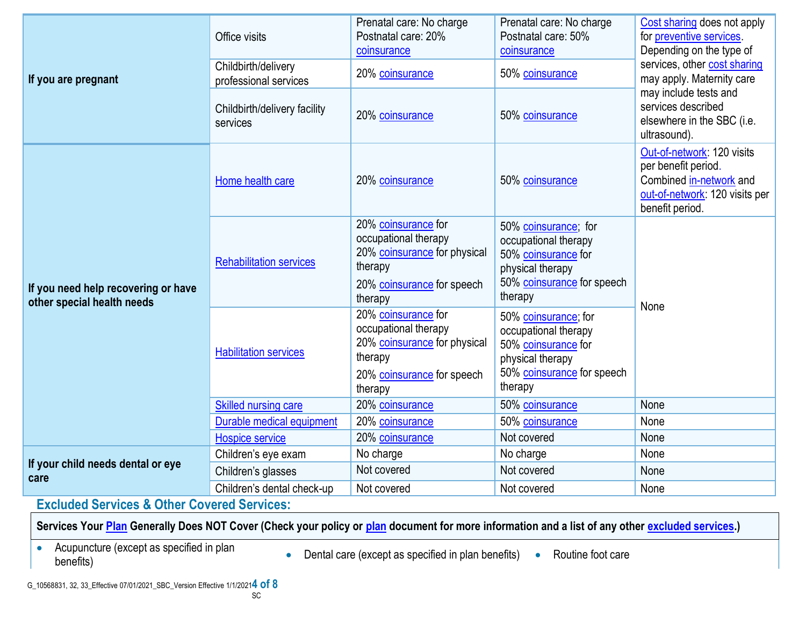| If you are pregnant                                               | Office visits                                | Prenatal care: No charge<br>Postnatal care: 20%<br>coinsurance                                                                  | Prenatal care: No charge<br>Postnatal care: 50%<br>coinsurance                                                                   | Cost sharing does not apply<br>for preventive services<br>Depending on the type of                                                |  |
|-------------------------------------------------------------------|----------------------------------------------|---------------------------------------------------------------------------------------------------------------------------------|----------------------------------------------------------------------------------------------------------------------------------|-----------------------------------------------------------------------------------------------------------------------------------|--|
|                                                                   | Childbirth/delivery<br>professional services | 20% coinsurance                                                                                                                 | 50% coinsurance                                                                                                                  | services, other cost sharing<br>may apply. Maternity care                                                                         |  |
|                                                                   | Childbirth/delivery facility<br>services     | 20% coinsurance                                                                                                                 | 50% coinsurance                                                                                                                  | may include tests and<br>services described<br>elsewhere in the SBC (i.e.<br>ultrasound).                                         |  |
| If you need help recovering or have<br>other special health needs | Home health care                             | 20% coinsurance                                                                                                                 | 50% coinsurance                                                                                                                  | Out-of-network: 120 visits<br>per benefit period.<br>Combined in-network and<br>out-of-network: 120 visits per<br>benefit period. |  |
|                                                                   | <b>Rehabilitation services</b>               | 20% coinsurance for<br>occupational therapy<br>20% coinsurance for physical<br>therapy<br>20% coinsurance for speech<br>therapy | 50% coinsurance; for<br>occupational therapy<br>50% coinsurance for<br>physical therapy<br>50% coinsurance for speech<br>therapy | None                                                                                                                              |  |
|                                                                   | <b>Habilitation services</b>                 | 20% coinsurance for<br>occupational therapy<br>20% coinsurance for physical<br>therapy<br>20% coinsurance for speech<br>therapy | 50% coinsurance; for<br>occupational therapy<br>50% coinsurance for<br>physical therapy<br>50% coinsurance for speech<br>therapy |                                                                                                                                   |  |
|                                                                   | Skilled nursing care                         | 20% coinsurance                                                                                                                 | 50% coinsurance                                                                                                                  | None                                                                                                                              |  |
|                                                                   | Durable medical equipment                    | 20% coinsurance                                                                                                                 | 50% coinsurance                                                                                                                  | None                                                                                                                              |  |
|                                                                   | <b>Hospice service</b>                       | 20% coinsurance                                                                                                                 | Not covered                                                                                                                      | None                                                                                                                              |  |
| If your child needs dental or eye                                 | Children's eye exam                          | No charge                                                                                                                       | No charge                                                                                                                        | None                                                                                                                              |  |
| care                                                              | Children's glasses                           | Not covered                                                                                                                     | Not covered                                                                                                                      | None                                                                                                                              |  |
|                                                                   | Children's dental check-up                   | Not covered                                                                                                                     | Not covered                                                                                                                      | None                                                                                                                              |  |

**Excluded Services & Other Covered Services:**

**Services Your Plan Generally Does NOT Cover (Check your policy or plan document for more information and a list of any other excluded services.)**

Acupuncture (except as specified in plan

Acupuncture (except as specified in plan<br>benefits) • Routine foot care<br>benefits)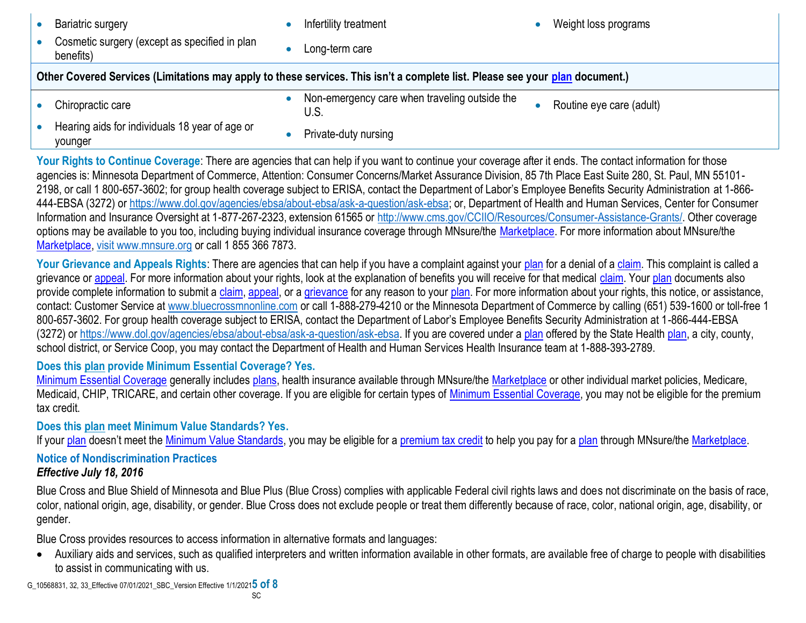| Bariatric surgery                                                                                                            | Infertility treatment                                              | Weight loss programs     |  |  |  |
|------------------------------------------------------------------------------------------------------------------------------|--------------------------------------------------------------------|--------------------------|--|--|--|
| Cosmetic surgery (except as specified in plan<br>benefits)                                                                   | Long-term care                                                     |                          |  |  |  |
| Other Covered Services (Limitations may apply to these services. This isn't a complete list. Please see your plan document.) |                                                                    |                          |  |  |  |
| Chiropractic care                                                                                                            | Non-emergency care when traveling outside the<br>$\bullet$<br>U.S. | Routine eye care (adult) |  |  |  |
| Hearing aids for individuals 18 year of age or<br>112112222                                                                  | Private-duty nursing                                               |                          |  |  |  |

Your Rights to Continue Coverage: There are agencies that can help if you want to continue your coverage after it ends. The contact information for those agencies is: Minnesota Department of Commerce, Attention: Consumer Concerns/Market Assurance Division, 85 7th Place East Suite 280, St. Paul, MN 55101- 2198, or call 1 800-657-3602; for group health coverage subject to ERISA, contact the Department of Labor's Employee Benefits Security Administration at 1-866- 444-EBSA (3272) or https://www.dol.gov/agencies/ebsa/about-ebsa/ask-a-question/ask-ebsa; or, Department of Health and Human Services, Center for Consumer Information and Insurance Oversight at 1-877-267-2323, extension 61565 or [http://www.cms.gov/CCIIO/Resources/Consumer-Assistance-Grants/.](http://www.cms.gov/CCIIO/Resources/Consumer-Assistance-Grants/) Other coverage options may be available to you too, including buying individual insurance coverage through MNsure/the [Marketplace.](https://www.healthcare.gov/sbc-glossary/#marketplace) For more information about MNsure/the [Marketplace,](https://www.healthcare.gov/sbc-glossary/#marketplace) visit www.mnsure.org or call 1 855 366 7873.

Your Grievance and Appeals Rights: There are agencies that can help if you have a complaint against your [plan](https://www.healthcare.gov/sbc-glossary/#plan) for a denial of a [claim.](https://www.healthcare.gov/sbc-glossary/#claim) This complaint is called a grievance or [appeal.](https://www.healthcare.gov/sbc-glossary/#appeal) For more information about your rights, look at the explanation of benefits you will receive for that medical [claim.](https://www.healthcare.gov/sbc-glossary/#claim) Your [plan](https://www.healthcare.gov/sbc-glossary/#plan) documents also provide complete information to submit a [claim,](https://www.healthcare.gov/sbc-glossary/#claim) [appeal,](https://www.healthcare.gov/sbc-glossary/#appeal) or a [grievance](https://www.healthcare.gov/sbc-glossary/#grievance) for any reason to your [plan.](https://www.healthcare.gov/sbc-glossary/#plan) For more information about your rights, this notice, or assistance, contact: Customer Service at www.bluecrossmnonline.com or call 1-888-279-4210 or the Minnesota Department of Commerce by calling (651) 539-1600 or toll-free 1 800-657-3602. For group health coverage subject to ERISA, contact the Department of Labor's Employee Benefits Security Administration at 1-866-444-EBSA (3272) or https://www.dol.gov/agencies/ebsa/about-ebsa/ask-a-question/ask-ebsa. If you are covered under a [plan](https://www.healthcare.gov/sbc-glossary/#plan) offered by the State Health [plan,](https://www.healthcare.gov/sbc-glossary/#plan) a city, county, school district, or Service Coop, you may contact the Department of Health and Human Services Health Insurance team at 1-888-393-2789.

**Does this [plan](https://www.healthcare.gov/sbc-glossary/#plan) provide Minimum Essential Coverage? Yes.**

[Minimum Essential Coverage](https://www.healthcare.gov/sbc-glossary/#minimum-essential-coverage) generally includes [plans,](https://www.healthcare.gov/sbc-glossary/#plan) health insurance available through MNsure/the [Marketplace](https://www.healthcare.gov/sbc-glossary/#marketplace) or other individual market policies, Medicare, Medicaid, CHIP, TRICARE, and certain other coverage. If you are eligible for certain types of [Minimum Essential Coverage,](https://www.healthcare.gov/sbc-glossary/#minimum-essential-coverage) you may not be eligible for the premium tax credit.

**Does this [plan](https://www.healthcare.gov/sbc-glossary/#plan) meet Minimum Value Standards? Yes.**

If your [plan](https://www.healthcare.gov/sbc-glossary/#plan) doesn't meet the [Minimum Value Standards,](https://www.healthcare.gov/sbc-glossary/#minimum-value-standard) you may be eligible for a [premium tax credit](https://www.healthcare.gov/sbc-glossary/#premium-tax-credits) to help you pay for a plan through MNsure/the [Marketplace.](https://www.healthcare.gov/sbc-glossary/#marketplace)

## **Notice of Nondiscrimination Practices**

## *Effective July 18, 2016*

younger

Blue Cross and Blue Shield of Minnesota and Blue Plus (Blue Cross) complies with applicable Federal civil rights laws and does not discriminate on the basis of race, color, national origin, age, disability, or gender. Blue Cross does not exclude people or treat them differently because of race, color, national origin, age, disability, or gender.

Blue Cross provides resources to access information in alternative formats and languages:

 Auxiliary aids and services, such as qualified interpreters and written information available in other formats, are available free of charge to people with disabilities to assist in communicating with us.

G\_10568831, 32, 33\_Effective 07/01/2021\_SBC\_Version Effective 1/1/2021**5 of 8**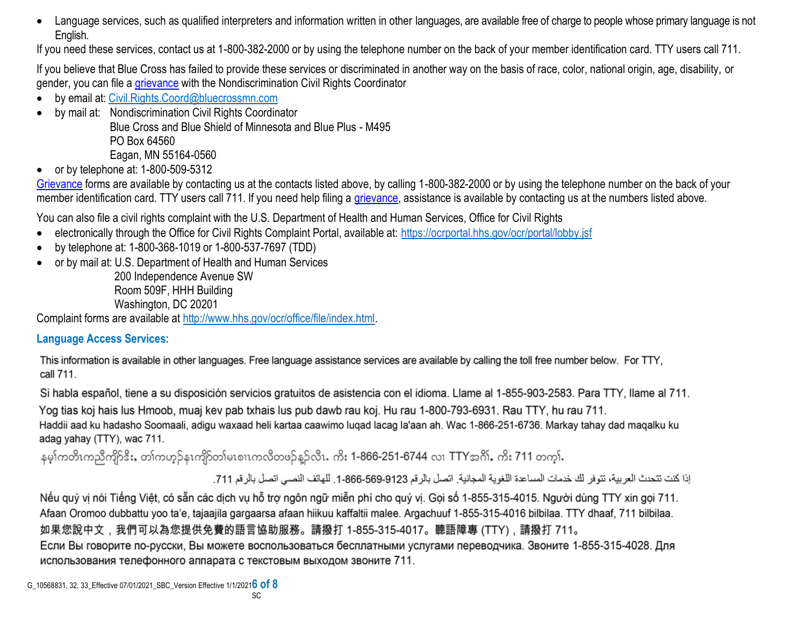Language services, such as qualified interpreters and information written in other languages, are available free of charge to people whose primary language is not English.

If you need these services, contact us at 1-800-382-2000 or by using the telephone number on the back of your member identification card. TTY users call 711.

If you believe that Blue Cross has failed to provide these services or discriminated in another way on the basis of race, color, national origin, age, disability, or gender, you can file a [grievance](https://www.healthcare.gov/sbc-glossary/#grievance) with the Nondiscrimination Civil Rights Coordinator

- by email at: [Civil.Rights.Coord@bluecrossmn.com](mailto:Civil.Rights.Coord@bluecrossmn.com?subject=Grievance)
- by mail at: Nondiscrimination Civil Rights Coordinator

Blue Cross and Blue Shield of Minnesota and Blue Plus - M495 PO Box 64560

Eagan, MN 55164-0560

 $\bullet$  or by telephone at: 1-800-509-5312

[Grievance](https://www.healthcare.gov/sbc-glossary/#grievance) forms are available by contacting us at the contacts listed above, by calling 1-800-382-2000 or by using the telephone number on the back of your member identification card. TTY users call 711. If you need help filing a [grievance,](https://www.healthcare.gov/sbc-glossary/#grievance) assistance is available by contacting us at the numbers listed above.

You can also file a civil rights complaint with the U.S. Department of Health and Human Services, Office for Civil Rights

- electronically through the Office for Civil Rights Complaint Portal, available at:<https://ocrportal.hhs.gov/ocr/portal/lobby.jsf>
- by telephone at: 1-800-368-1019 or 1-800-537-7697 (TDD)
- or by mail at: U.S. Department of Health and Human Services

200 Independence Avenue SW Room 509F, HHH Building Washington, DC 20201

Complaint forms are available at [http://www.hhs.gov/ocr/office/file/index.html.](http://www.hhs.gov/ocr/office/file/index.html)

## **Language Access Services:**

This information is available in other languages. Free language assistance services are available by calling the toll free number below. For TTY, call 711.

Si habla español, tiene a su disposición servicios gratuitos de asistencia con el idioma. Llame al 1-855-903-2583. Para TTY, llame al 711.

Yog tias koj hais lus Hmoob, muaj kev pab txhais lus pub dawb rau koj. Hu rau 1-800-793-6931. Rau TTY, hu rau 711. Haddii aad ku hadasho Soomaali, adigu waxaad heli kartaa caawimo luqad lacag la'aan ah. Wac 1-866-251-6736. Markay tahay dad maqalku ku adag yahay (TTY), wac 711.

နမ္န၊်ကတိၤကညီကျိဉ်ဒီး, တၢ်ကဟ္နဉ်နၤကျိဉ်တ၊်မၤစၢၤကလိတဖဉ်နူဉ်လိၤ. ကိး 1-866-251-6744 လ၊ TTYအဂိၢ်, ကိး 711 တက္န၊်.

إذا كنت تتحدث العربية، تتوفر لك خدمات المساعدة اللغوية المجانية. اتصل بالرقم 9123-666-666-1. للهاتف النصبي اتصل بالرقم 711.

Nếu quý vị nói Tiếng Việt, có sẵn các dịch vụ hỗ trợ ngôn ngữ miễn phí cho quý vị. Gọi số 1-855-315-4015. Người dùng TTY xin gọi 711. Afaan Oromoo dubbattu yoo ta'e, tajaajila gargaarsa afaan hiikuu kaffaltii malee. Argachuuf 1-855-315-4016 bilbilaa. TTY dhaaf, 711 bilbilaa. 如果您說中文,我們可以為您提供免費的語言協助服務。請撥打 1-855-315-4017。聽語障專 (TTY),請撥打 711。 Если Вы говорите по-русски, Вы можете воспользоваться бесплатными услугами переводчика. Звоните 1-855-315-4028. Для использования телефонного аппарата с текстовым выходом звоните 711.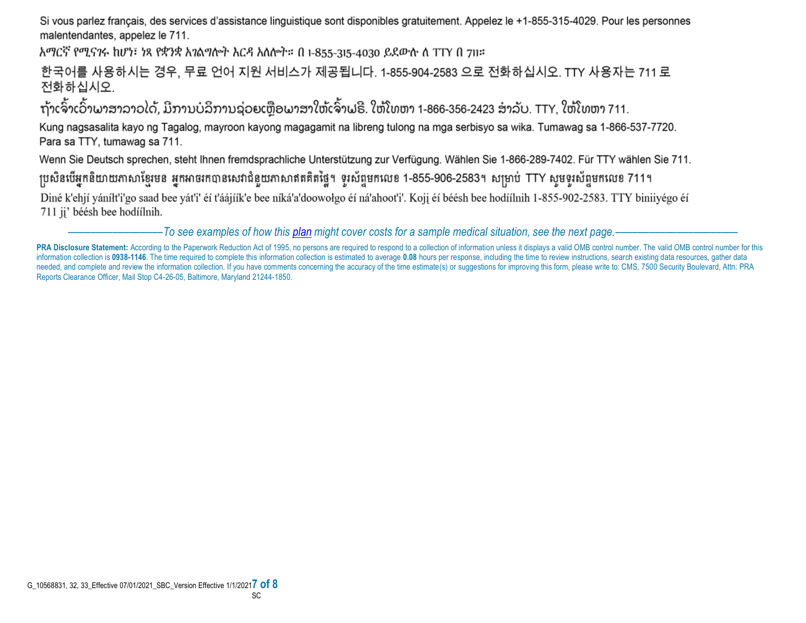Si vous parlez français, des services d'assistance linguistique sont disponibles gratuitement. Appelez le +1-855-315-4029. Pour les personnes malentendantes, appelez le 711.

አማርኛ የሚናንሩ ከሆነ፣ ነጻ የቋንቋ አንልግሎት እርዳ አለሎት። በ 1-855-315-4030 ይደውሉ ለ TTY በ 711።

한국어를 사용하시는 경우, 무료 언어 지원 서비스가 제공됩니다. 1-855-904-2583 으로 전화하십시오. TTY 사용자는 711 로 전화하십시오.

ຖ້າເຈົ້າເວົ້າພາສາລາວໄດ້, ມີການບໍລິການຊ່ວຍເຫຼືອພາສາໃຫ້ເຈົ້າຟຣີ. ໃຫ້ໂທຫາ 1-866-356-2423 ສໍາລັບ. TTY, ໃຫ້ໂທຫາ 711.

Kung nagsasalita kayo ng Tagalog, mayroon kayong magagamit na libreng tulong na mga serbisyo sa wika. Tumawag sa 1-866-537-7720. Para sa TTY, tumawag sa 711.

Wenn Sie Deutsch sprechen, steht Ihnen fremdsprachliche Unterstützung zur Verfügung. Wählen Sie 1-866-289-7402. Für TTY wählen Sie 711.

ប្រសិនបើអ្នកនិយាយភាសាខ្មែរមន អ្នកអាចរកបានសេវាជំនួយភាសាឥតគិតថ្លៃ។ ទូរស័ព្ទមកលេខ 1-855-906-2583។ សម្រាប់ TTY សូមទូរស័ព្ទមកលេខ 711។

Diné k'ehjí yáníłt'i'go saad bee yát'i' éí t'áájíík'e bee níká'a'doowołgo éí ná'ahoot'i'. Koji éí béésh bee hodíílnih 1-855-902-2583. TTY biniiyégo éí 711 ji' béésh bee hodíílnih.

–––––––––––––––––*To see examples of how this plan might cover costs for a sample medical situation, see the next page.–––––––––––*–––––––––––

PRA Disclosure Statement: According to the Paperwork Reduction Act of 1995, no persons are required to respond to a collection of information unless it displays a valid OMB control number. The valid OMB control number for information collection is 0938-1146. The time required to complete this information collection is estimated to average 0.08 hours per response, including the time to review instructions, search existing data resources, gat needed, and complete and review the information collection. If you have comments concerning the accuracy of the time estimate(s) or suggestions for improving this form, please write to: CMS, 7500 Security Boulevard, Attn: Reports Clearance Officer, Mail Stop C4-26-05, Baltimore, Maryland 21244-1850.